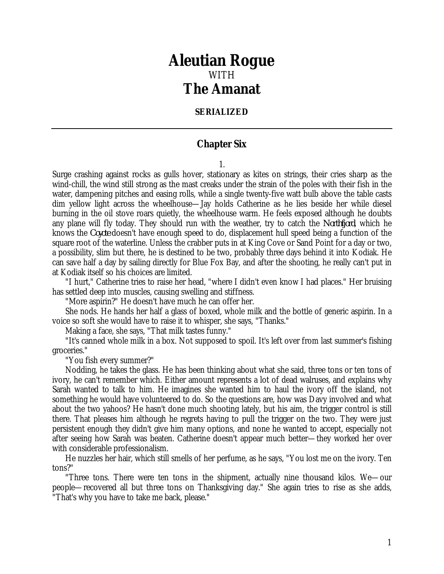## *Aleutian Rogue* WITH *The Amanat*

## **SERIALIZED**

## **Chapter Six**

1.

Surge crashing against rocks as gulls hover, stationary as kites on strings, their cries sharp as the wind-chill, the wind still strong as the mast creaks under the strain of the poles with their fish in the water, dampening pitches and easing rolls, while a single twenty-five watt bulb above the table casts dim yellow light across the wheelhouse—Jay holds Catherine as he lies beside her while diesel burning in the oil stove roars quietly, the wheelhouse warm. He feels exposed although he doubts any plane will fly today. They should run with the weather, try to catch the *Northfjord*, which he knows the *Coyote* doesn't have enough speed to do, displacement hull speed being a function of the square root of the waterline. Unless the crabber puts in at King Cove or Sand Point for a day or two, a possibility, slim but there, he is destined to be two, probably three days behind it into Kodiak. He can save half a day by sailing directly for Blue Fox Bay, and after the shooting, he really can't put in at Kodiak itself so his choices are limited.

"I hurt," Catherine tries to raise her head, "where I didn't even know I had places." Her bruising has settled deep into muscles, causing swelling and stiffness.

"More aspirin?" He doesn't have much he can offer her.

She nods. He hands her half a glass of boxed, whole milk and the bottle of generic aspirin. In a voice so soft she would have to raise it to whisper, she says, "Thanks."

Making a face, she says, "That milk tastes funny."

"It's canned whole milk in a box. Not supposed to spoil. It's left over from last summer's fishing groceries."

"You fish every summer?"

Nodding, he takes the glass. He has been thinking about what she said, three tons or ten tons of ivory, he can't remember which. Either amount represents a lot of dead walruses, and explains why Sarah wanted to talk to him. He imagines she wanted him to haul the ivory off the island, not something he would have volunteered to do. So the questions are, how was Davy involved and what about the two yahoos? He hasn't done much shooting lately, but his aim, the trigger control is still there. That pleases him although he regrets having to pull the trigger on the two. They were just persistent enough they didn't give him many options, and none he wanted to accept, especially not after seeing how Sarah was beaten. Catherine doesn't appear much better—they worked her over with considerable professionalism.

He nuzzles her hair, which still smells of her perfume, as he says, "You lost me on the ivory. Ten tons?"

"Three tons. There were ten tons in the shipment, actually nine thousand kilos. We—our people—recovered all but three tons on Thanksgiving day." She again tries to rise as she adds, "That's why you have to take me back, please."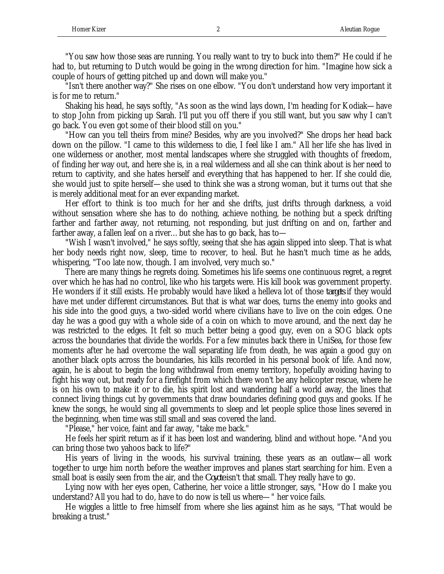"You saw how those seas are running. You really want to try to buck into them?" He could if he had to, but returning to Dutch would be going in the wrong direction for him. "Imagine how sick a couple of hours of getting pitched up and down will make you."

"Isn't there another way?" She rises on one elbow. "You don't understand how very important it is for me to return."

Shaking his head, he says softly, "As soon as the wind lays down, I'm heading for Kodiak—have to stop John from picking up Sarah. I'll put you off there if you still want, but you saw why I can't go back. You even got some of their blood still on you."

"How can you tell theirs from mine? Besides, why are you involved?" She drops her head back down on the pillow. "I came to this wilderness to die, I feel like I am." All her life she has lived in one wilderness or another, most mental landscapes where she struggled with thoughts of freedom, of finding her way out, and here she is, in a real wilderness and all she can think about is her need to return to captivity, and she hates herself and everything that has happened to her. If she could die, she would just to spite herself—she used to think she was a strong woman, but it turns out that she is merely additional meat for an ever expanding market.

Her effort to think is too much for her and she drifts, just drifts through darkness, a void without sensation where she has to do nothing, achieve nothing, be nothing but a speck drifting farther and farther away, not returning, not responding, but just drifting on and on, farther and farther away, a fallen leaf on a river…but she has to go back, has to—

"Wish I wasn't involved," he says softly, seeing that she has again slipped into sleep. That is what her body needs right now, sleep, time to recover, to heal. But he hasn't much time as he adds, whispering, "Too late now, though. I am involved, very much so."

There are many things he regrets doing. Sometimes his life seems one continuous regret, a regret over which he has had no control, like who his targets were. His kill book was government property. He wonders if it still exists. He probably would have liked a helleva lot of those *targets* if they would have met under different circumstances. But that is what war does, turns the enemy into gooks and his side into the good guys, a two-sided world where civilians have to live on the coin edges. One day he was a good guy with a whole side of a coin on which to move around, and the next day he was restricted to the edges. It felt so much better being a good guy, even on a SOG black opts across the boundaries that divide the worlds. For a few minutes back there in UniSea, for those few moments after he had overcome the wall separating life from death, he was again a good guy on another black opts across the boundaries, his kills recorded in his personal book of life. And now, again, he is about to begin the long withdrawal from enemy territory, hopefully avoiding having to fight his way out, but ready for a firefight from which there won't be any helicopter rescue, where he is on his own to make it or to die, his spirit lost and wandering half a world away, the lines that connect living things cut by governments that draw boundaries defining good guys and gooks. If he knew the songs, he would sing all governments to sleep and let people splice those lines severed in the beginning, when time was still small and seas covered the land.

"Please," her voice, faint and far away, "take me back."

He feels her spirit return as if it has been lost and wandering, blind and without hope. "And you can bring those two yahoos back to life?"

His years of living in the woods, his survival training, these years as an outlaw—all work together to urge him north before the weather improves and planes start searching for him. Even a small boat is easily seen from the air, and the *Coyote* isn't that small. They really have to go.

Lying now with her eyes open, Catherine, her voice a little stronger, says, "How do I make you understand? All you had to do, have to do now is tell us where—" her voice fails.

He wiggles a little to free himself from where she lies against him as he says, "That would be breaking a trust."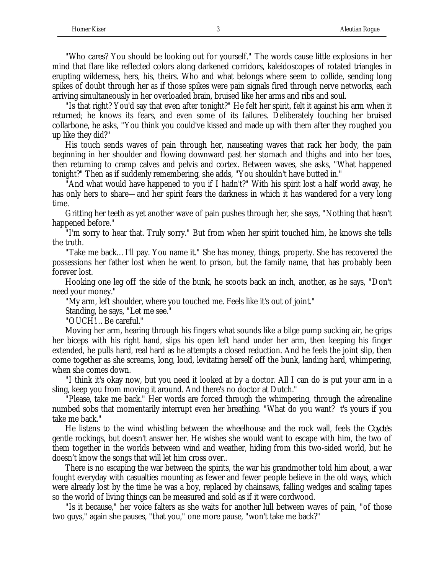"Who cares? You should be looking out for yourself." The words cause little explosions in her mind that flare like reflected colors along darkened corridors, kaleidoscopes of rotated triangles in erupting wilderness, hers, his, theirs. Who and what belongs where seem to collide, sending long spikes of doubt through her as if those spikes were pain signals fired through nerve networks, each arriving simultaneously in her overloaded brain, bruised like her arms and ribs and soul.

"Is that right? You'd say that even after tonight?" He felt her spirit, felt it against his arm when it returned; he knows its fears, and even some of its failures. Deliberately touching her bruised collarbone, he asks, "You think you could've kissed and made up with them after they roughed you up like they did?"

His touch sends waves of pain through her, nauseating waves that rack her body, the pain beginning in her shoulder and flowing downward past her stomach and thighs and into her toes, then returning to cramp calves and pelvis and cortex. Between waves, she asks, "What happened tonight?" Then as if suddenly remembering, she adds, "You shouldn't have butted in."

"And what would have happened to you if I hadn't?" With his spirit lost a half world away, he has only hers to share—and her spirit fears the darkness in which it has wandered for a very long time.

Gritting her teeth as yet another wave of pain pushes through her, she says, "Nothing that hasn't happened before."

"I'm sorry to hear that. Truly sorry." But from when her spirit touched him, he knows she tells the truth.

"Take me back…I'll pay. You name it." She has money, things, property. She has recovered the possessions her father lost when he went to prison, but the family name, that has probably been forever lost.

Hooking one leg off the side of the bunk, he scoots back an inch, another, as he says, "Don't need your money."

"My arm, left shoulder, where you touched me. Feels like it's out of joint."

Standing, he says, "Let me see."

"OUCH!…Be careful."

Moving her arm, hearing through his fingers what sounds like a bilge pump sucking air, he grips her biceps with his right hand, slips his open left hand under her arm, then keeping his finger extended, he pulls hard, real hard as he attempts a closed reduction. And he feels the joint slip, then come together as she screams, long, loud, levitating herself off the bunk, landing hard, whimpering, when she comes down.

"I think it's okay now, but you need it looked at by a doctor. All I can do is put your arm in a sling, keep you from moving it around. And there's no doctor at Dutch."

"Please, take me back." Her words are forced through the whimpering, through the adrenaline numbed sobs that momentarily interrupt even her breathing. "What do you want? t's yours if you take me back."

He listens to the wind whistling between the wheelhouse and the rock wall, feels the *Coyote*'s gentle rockings, but doesn't answer her. He wishes she would want to escape with him, the two of them together in the worlds between wind and weather, hiding from this two-sided world, but he doesn't know the songs that will let him cross over..

There is no escaping the war between the spirits, the war his grandmother told him about, a war fought everyday with casualties mounting as fewer and fewer people believe in the old ways, which were already lost by the time he was a boy, replaced by chainsaws, falling wedges and scaling tapes so the world of living things can be measured and sold as if it were cordwood.

"Is it because," her voice falters as she waits for another lull between waves of pain, "of those two guys," again she pauses, "that you," one more pause, "won't take me back?"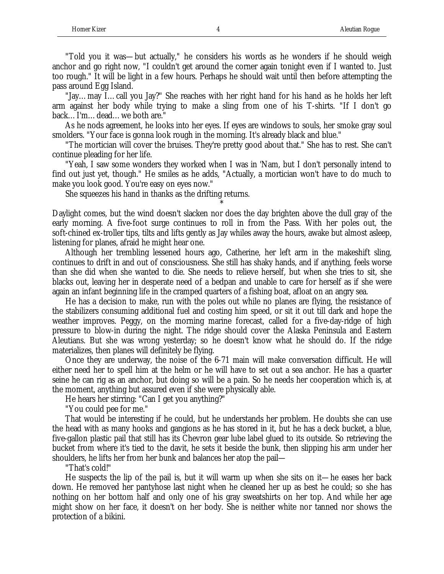"Told you it was—but actually," he considers his words as he wonders if he should weigh anchor and go right now, "I couldn't get around the corner again tonight even if I wanted to. Just too rough." It will be light in a few hours. Perhaps he should wait until then before attempting the pass around Egg Island.

"Jay…may I…call you Jay?" She reaches with her right hand for his hand as he holds her left arm against her body while trying to make a sling from one of his T-shirts. "If I don't go back…I'm…dead…we both are."

As he nods agreement, he looks into her eyes. If eyes are windows to souls, her smoke gray soul smolders. "Your face is gonna look rough in the morning. It's already black and blue."

"The mortician will cover the bruises. They're pretty good about that." She has to rest. She can't continue pleading for her life.

"Yeah, I saw some wonders they worked when I was in 'Nam, but I don't personally intend to find out just yet, though." He smiles as he adds, "Actually, a mortician won't have to do much to make you look good. You're easy on eyes now."

She squeezes his hand in thanks as the drifting returns.

Daylight comes, but the wind doesn't slacken nor does the day brighten above the dull gray of the early morning. A five-foot surge continues to roll in from the Pass. With her poles out, the soft-chined ex-troller tips, tilts and lifts gently as Jay whiles away the hours, awake but almost asleep, listening for planes, afraid he might hear one.

\*

Although her trembling lessened hours ago, Catherine, her left arm in the makeshift sling, continues to drift in and out of consciousness. She still has shaky hands, and if anything, feels worse than she did when she wanted to die. She needs to relieve herself, but when she tries to sit, she blacks out, leaving her in desperate need of a bedpan and unable to care for herself as if she were again an infant beginning life in the cramped quarters of a fishing boat, afloat on an angry sea.

He has a decision to make, run with the poles out while no planes are flying, the resistance of the stabilizers consuming additional fuel and costing him speed, or sit it out till dark and hope the weather improves. Peggy, on the morning marine forecast, called for a five-day-ridge of high pressure to blow-in during the night. The ridge should cover the Alaska Peninsula and Eastern Aleutians. But she was wrong yesterday; so he doesn't know what he should do. If the ridge materializes, then planes will definitely be flying.

Once they are underway, the noise of the 6-71 main will make conversation difficult. He will either need her to spell him at the helm or he will have to set out a sea anchor. He has a quarter seine he can rig as an anchor, but doing so will be a pain. So he needs her cooperation which is, at the moment, anything but assured even if she were physically able.

He hears her stirring: "Can I get you anything?"

"You could pee for me."

That would be interesting if he could, but he understands her problem. He doubts she can use the head with as many hooks and gangions as he has stored in it, but he has a deck bucket, a blue, five-gallon plastic pail that still has its Chevron gear lube label glued to its outside. So retrieving the bucket from where it's tied to the davit, he sets it beside the bunk, then slipping his arm under her shoulders, he lifts her from her bunk and balances her atop the pail—

"That's cold!"

He suspects the lip of the pail is, but it will warm up when she sits on it—he eases her back down. He removed her pantyhose last night when he cleaned her up as best he could; so she has nothing on her bottom half and only one of his gray sweatshirts on her top. And while her age might show on her face, it doesn't on her body. She is neither white nor tanned nor shows the protection of a bikini.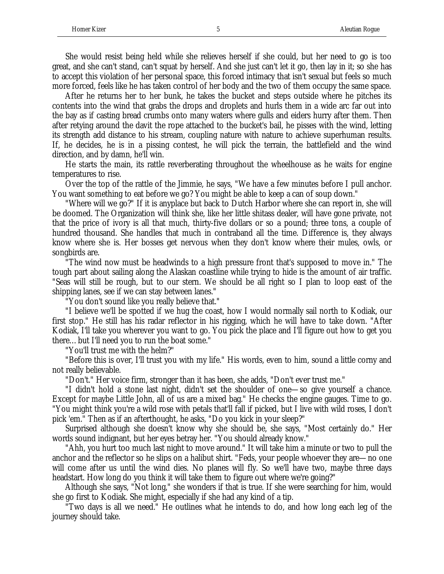She would resist being held while she relieves herself if she could, but her need to go is too great, and she can't stand, can't squat by herself. And she just can't let it go, then lay in it; so she has to accept this violation of her personal space, this forced intimacy that isn't sexual but feels so much more forced, feels like he has taken control of her body and the two of them occupy the same space.

After he returns her to her bunk, he takes the bucket and steps outside where he pitches its contents into the wind that grabs the drops and droplets and hurls them in a wide arc far out into the bay as if casting bread crumbs onto many waters where gulls and eiders hurry after them. Then after retying around the davit the rope attached to the bucket's bail, he pisses with the wind, letting its strength add distance to his stream, coupling nature with nature to achieve superhuman results. If, he decides, he is in a pissing contest, he will pick the terrain, the battlefield and the wind direction, and by damn, he'll win.

He starts the main, its rattle reverberating throughout the wheelhouse as he waits for engine temperatures to rise.

Over the top of the rattle of the Jimmie, he says, "We have a few minutes before I pull anchor. You want something to eat before we go? You might be able to keep a can of soup down."

"Where will we go?" If it is anyplace but back to Dutch Harbor where she can report in, she will be doomed. The Organization will think she, like her little shitass dealer, will have gone private, not that the price of ivory is all that much, thirty-five dollars or so a pound; three tons, a couple of hundred thousand. She handles that much in contraband all the time. Difference is, they always know where she is. Her bosses get nervous when they don't know where their mules, owls, or songbirds are.

"The wind now must be headwinds to a high pressure front that's supposed to move in." The tough part about sailing along the Alaskan coastline while trying to hide is the amount of air traffic. "Seas will still be rough, but to our stern. We should be all right so I plan to loop east of the shipping lanes, see if we can stay between lanes."

"You don't sound like you really believe that."

"I believe we'll be spotted if we hug the coast, how I would normally sail north to Kodiak, our first stop." He still has his radar reflector in his rigging, which he will have to take down. "After Kodiak, I'll take you wherever you want to go. You pick the place and I'll figure out how to get you there…but I'll need you to run the boat some."

"You'll trust me with the helm?"

"Before this is over, I'll trust you with my life." His words, even to him, sound a little corny and not really believable.

"Don't." Her voice firm, stronger than it has been, she adds, "Don't ever trust me."

"I didn't hold a stone last night, didn't set the shoulder of one—so give yourself a chance. Except for maybe Little John, all of us are a mixed bag." He checks the engine gauges. Time to go. "You might think you're a wild rose with petals that'll fall if picked, but I live with wild roses, I don't pick 'em." Then as if an afterthought, he asks, "Do you kick in your sleep?"

Surprised although she doesn't know why she should be, she says, "Most certainly do." Her words sound indignant, but her eyes betray her. "You should already know."

"Ahh, you hurt too much last night to move around." It will take him a minute or two to pull the anchor and the reflector so he slips on a halibut shirt. "Feds, your people whoever they are—no one will come after us until the wind dies. No planes will fly. So we'll have two, maybe three days headstart. How long do you think it will take them to figure out where we're going?"

Although she says, "Not long," she wonders if that is true. If she were searching for him, would she go first to Kodiak. She might, especially if she had any kind of a tip.

"Two days is all we need." He outlines what he intends to do, and how long each leg of the journey should take.